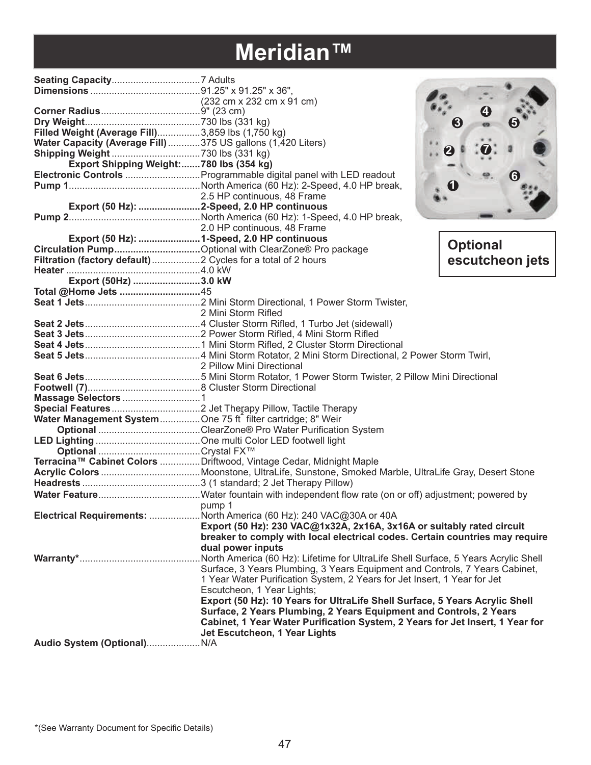### **Meridian™**

|                                                               |                                                                                    | 3                |
|---------------------------------------------------------------|------------------------------------------------------------------------------------|------------------|
| Filled Weight (Average Fill)3,859 lbs (1,750 kg)              |                                                                                    |                  |
| Water Capacity (Average Fill) 375 US gallons (1,420 Liters)   |                                                                                    |                  |
|                                                               |                                                                                    | $\boldsymbol{2}$ |
| Export Shipping Weight:780 lbs (354 kg)                       |                                                                                    |                  |
|                                                               |                                                                                    |                  |
|                                                               |                                                                                    |                  |
|                                                               | 2.5 HP continuous, 48 Frame                                                        |                  |
|                                                               | Export (50 Hz): 2-Speed, 2.0 HP continuous                                         |                  |
|                                                               |                                                                                    |                  |
|                                                               | 2.0 HP continuous, 48 Frame<br>Export (50 Hz): 1-Speed, 2.0 HP continuous          |                  |
|                                                               |                                                                                    |                  |
|                                                               |                                                                                    | <b>Optional</b>  |
| Filtration (factory default)  2 Cycles for a total of 2 hours |                                                                                    | escutcheon jets  |
|                                                               |                                                                                    |                  |
| Export (50Hz) 3.0 kW                                          |                                                                                    |                  |
| Total @Home Jets 45                                           |                                                                                    |                  |
|                                                               |                                                                                    |                  |
|                                                               | 2 Mini Storm Rifled                                                                |                  |
|                                                               |                                                                                    |                  |
|                                                               |                                                                                    |                  |
|                                                               |                                                                                    |                  |
|                                                               |                                                                                    |                  |
|                                                               |                                                                                    |                  |
|                                                               |                                                                                    |                  |
|                                                               |                                                                                    |                  |
|                                                               |                                                                                    |                  |
|                                                               |                                                                                    |                  |
| Water Management System  One 75 ft filter cartridge; 8" Weir  |                                                                                    |                  |
|                                                               |                                                                                    |                  |
|                                                               |                                                                                    |                  |
|                                                               |                                                                                    |                  |
|                                                               | Terracina™ Cabinet Colors Driftwood, Vintage Cedar, Midnight Maple                 |                  |
|                                                               |                                                                                    |                  |
|                                                               |                                                                                    |                  |
|                                                               |                                                                                    |                  |
| <b>Example 1</b> Distribution of the pump 1                   |                                                                                    |                  |
|                                                               | Electrical Requirements: North America (60 Hz): 240 VAC@30A or 40A                 |                  |
|                                                               | Export (50 Hz): 230 VAC@1x32A, 2x16A, 3x16A or suitably rated circuit              |                  |
|                                                               | breaker to comply with local electrical codes. Certain countries may require       |                  |
|                                                               | dual power inputs                                                                  |                  |
|                                                               | North America (60 Hz): Lifetime for UltraLife Shell Surface, 5 Years Acrylic Shell |                  |
|                                                               | Surface, 3 Years Plumbing, 3 Years Equipment and Controls, 7 Years Cabinet,        |                  |
|                                                               | 1 Year Water Purification System, 2 Years for Jet Insert, 1 Year for Jet           |                  |
|                                                               | Escutcheon, 1 Year Lights;                                                         |                  |
|                                                               | Export (50 Hz): 10 Years for UltraLife Shell Surface, 5 Years Acrylic Shell        |                  |
|                                                               | Surface, 2 Years Plumbing, 2 Years Equipment and Controls, 2 Years                 |                  |
|                                                               | Cabinet, 1 Year Water Purification System, 2 Years for Jet Insert, 1 Year for      |                  |
|                                                               | Jet Escutcheon, 1 Year Lights                                                      |                  |
|                                                               |                                                                                    |                  |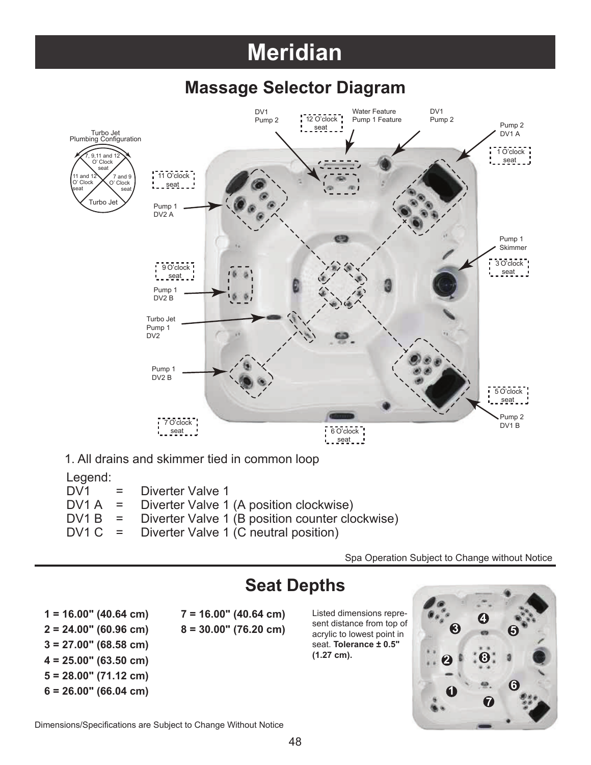### **Meridian**

### **Massage Selector Diagram**



1. All drains and skimmer tied in common loop

#### Legend:

|  | $DV1 = Diverter Value 1$<br>$DV1A =$ Diverter Valve 1 (A position clockwise) |
|--|------------------------------------------------------------------------------|
|  | $DV1 B =$ Diverter Valve 1 (B position counter clockwise)                    |
|  | $DV1 C = Diverter Value 1 (C neutral position)$                              |

Spa Operation Subject to Change without Notice

### **Seat Depths**

 $3 = 27.00$ " (68.58 cm)  $4 = 25.00$ " (63.50 cm)  $5 = 28.00$ " (71.12 cm)  $6 = 26.00$ " (66.04 cm)

 $1 = 16.00"$  (40.64 cm)  $7 = 16.00"$  (40.64 cm) Listed dimensions repre- $2 = 24.00$ " (60.96 cm)  $8 = 30.00$ " (76.20 cm)

acrylic to lowest point in seat. **Tolerance ± 0.5"** (1.27 cm).



Dimensions/Specifications are Subject to Change Without Notice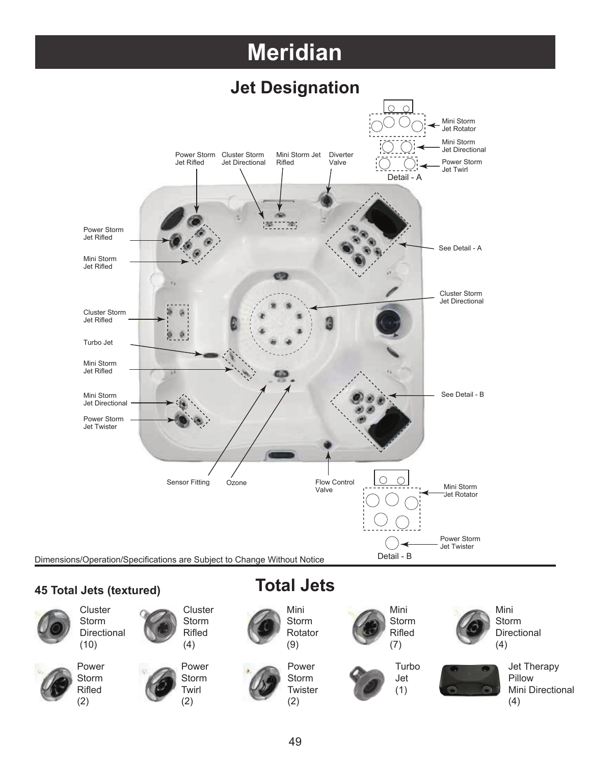## **Meridian**









Storm Directional



Storm Rifled

(2)



(9) Power





Mini Storm **Directional** (4)

(4)

Jet Therapy Pillow

Mini Directional



**Jet** (1)

49

Storm **Twister** (2)